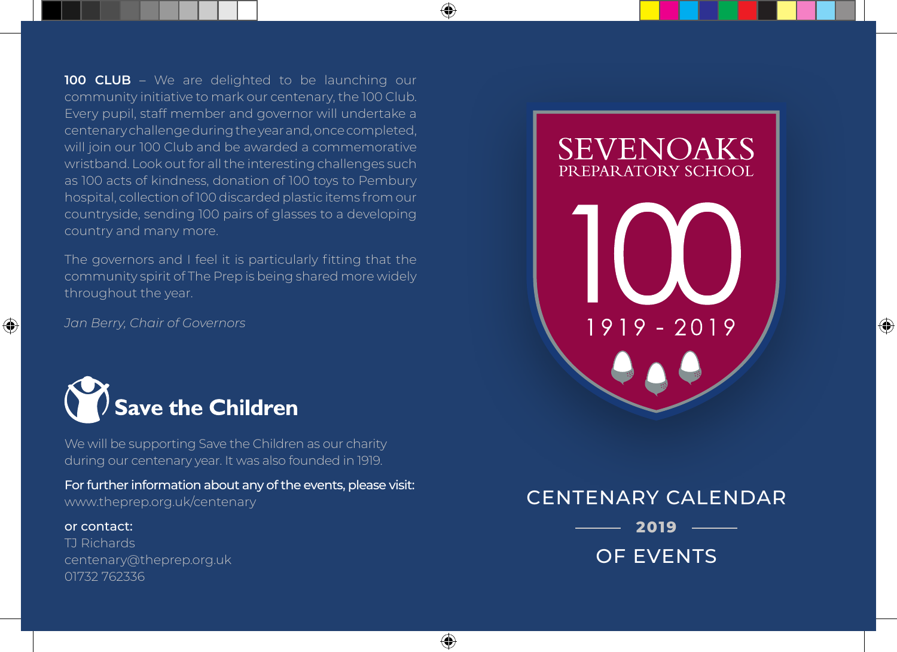**100 CLUB** – We are delighted to be launching our community initiative to mark our centenary, the 100 Club. Every pupil, staff member and governor will undertake a centenary challenge during the year and, once completed, will join our 100 Club and be awarded a commemorative wristband. Look out for all the interesting challenges such as 100 acts of kindness, donation of 100 toys to Pembury hospital, collection of 100 discarded plastic items from our countryside, sending 100 pairs of glasses to a developing country and many more.

⊕

⊕

The governors and I feel it is particularly fitting that the community spirit of The Prep is being shared more widely throughout the year.

*Jan Berry, Chair of Governors*



We will be supporting Save the Children as our charity during our centenary year. It was also founded in 1919.

For further information about any of the events, please visit: www.theprep.org.uk/centenary

#### or contact:

◈

TJ Richards centenary@theprep.org.uk 01732 762336

# **SEVENOAKS** PREPARATORY SCHOOL

1919 - 2019

⊕

# CENTENARY CALENDAR **2019**

OF EVENTS